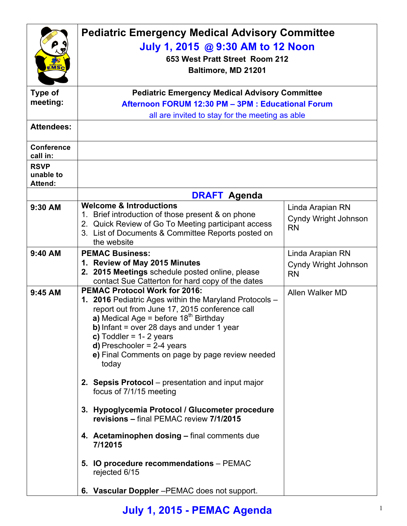|                                     | <b>Pediatric Emergency Medical Advisory Committee</b>                                                    |                      |  |
|-------------------------------------|----------------------------------------------------------------------------------------------------------|----------------------|--|
|                                     | July 1, 2015 @ 9:30 AM to 12 Noon                                                                        |                      |  |
|                                     | 653 West Pratt Street Room 212<br>Baltimore, MD 21201                                                    |                      |  |
| EMSC                                |                                                                                                          |                      |  |
| <b>Type of</b>                      | <b>Pediatric Emergency Medical Advisory Committee</b>                                                    |                      |  |
| meeting:                            | Afternoon FORUM 12:30 PM - 3PM : Educational Forum                                                       |                      |  |
|                                     | all are invited to stay for the meeting as able                                                          |                      |  |
| <b>Attendees:</b>                   |                                                                                                          |                      |  |
| <b>Conference</b><br>call in:       |                                                                                                          |                      |  |
| <b>RSVP</b><br>unable to<br>Attend: |                                                                                                          |                      |  |
|                                     | <b>DRAFT Agenda</b>                                                                                      |                      |  |
| 9:30 AM                             | <b>Welcome &amp; Introductions</b>                                                                       | Linda Arapian RN     |  |
|                                     | 1. Brief introduction of those present & on phone<br>2. Quick Review of Go To Meeting participant access | Cyndy Wright Johnson |  |
|                                     | 3. List of Documents & Committee Reports posted on                                                       | <b>RN</b>            |  |
|                                     | the website                                                                                              |                      |  |
| $9:40$ AM                           | <b>PEMAC Business:</b>                                                                                   | Linda Arapian RN     |  |
|                                     | 1. Review of May 2015 Minutes<br>2. 2015 Meetings schedule posted online, please                         | Cyndy Wright Johnson |  |
|                                     | contact Sue Catterton for hard copy of the dates                                                         | <b>RN</b>            |  |
| 9:45 AM                             | <b>PEMAC Protocol Work for 2016:</b>                                                                     | Allen Walker MD      |  |
|                                     | 1. 2016 Pediatric Ages within the Maryland Protocols -<br>report out from June 17, 2015 conference call  |                      |  |
|                                     | a) Medical Age = before $18^{th}$ Birthday                                                               |                      |  |
|                                     | b) Infant = over 28 days and under 1 year                                                                |                      |  |
|                                     | c) Toddler = $1 - 2$ years                                                                               |                      |  |
|                                     | $d)$ Preschooler = 2-4 years<br>e) Final Comments on page by page review needed                          |                      |  |
|                                     | today                                                                                                    |                      |  |
|                                     |                                                                                                          |                      |  |
|                                     | 2. Sepsis Protocol - presentation and input major<br>focus of 7/1/15 meeting                             |                      |  |
|                                     |                                                                                                          |                      |  |
|                                     | 3. Hypoglycemia Protocol / Glucometer procedure<br>revisions - final PEMAC review 7/1/2015               |                      |  |
|                                     | 4. Acetaminophen dosing - final comments due<br>7/12015                                                  |                      |  |
|                                     | 5. IO procedure recommendations - PEMAC<br>rejected 6/15                                                 |                      |  |
|                                     | 6. Vascular Doppler-PEMAC does not support.                                                              |                      |  |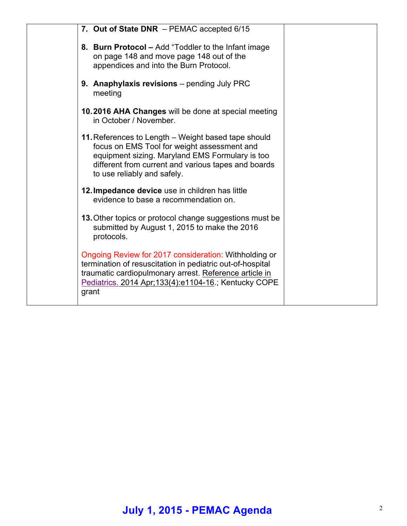| 7. Out of State DNR - PEMAC accepted 6/15                                                                                                                                                                                                       |  |
|-------------------------------------------------------------------------------------------------------------------------------------------------------------------------------------------------------------------------------------------------|--|
| 8. Burn Protocol - Add "Toddler to the Infant image<br>on page 148 and move page 148 out of the<br>appendices and into the Burn Protocol.                                                                                                       |  |
| 9. Anaphylaxis revisions - pending July PRC<br>meeting                                                                                                                                                                                          |  |
| 10.2016 AHA Changes will be done at special meeting<br>in October / November.                                                                                                                                                                   |  |
| 11. References to Length – Weight based tape should<br>focus on EMS Tool for weight assessment and<br>equipment sizing. Maryland EMS Formulary is too<br>different from current and various tapes and boards<br>to use reliably and safely.     |  |
| 12. Impedance device use in children has little<br>evidence to base a recommendation on.                                                                                                                                                        |  |
| 13. Other topics or protocol change suggestions must be<br>submitted by August 1, 2015 to make the 2016<br>protocols.                                                                                                                           |  |
| Ongoing Review for 2017 consideration: Withholding or<br>termination of resuscitation in pediatric out-of-hospital<br>traumatic cardiopulmonary arrest. Reference article in<br>Pediatrics. 2014 Apr; 133(4): e1104-16.; Kentucky COPE<br>grant |  |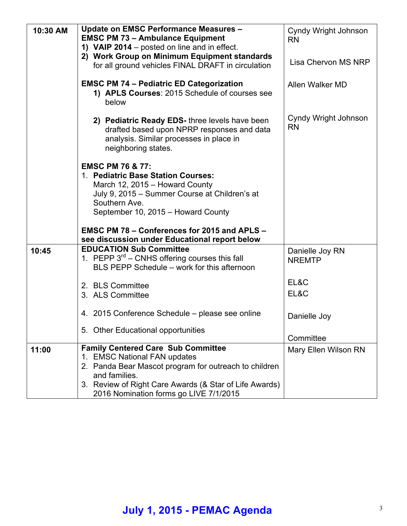| 10:30 AM | <b>Update on EMSC Performance Measures -</b><br><b>EMSC PM 73 - Ambulance Equipment</b><br>1) VAIP 2014 – posted on line and in effect.<br>2) Work Group on Minimum Equipment standards<br>for all ground vehicles FINAL DRAFT in circulation                      | Cyndy Wright Johnson<br><b>RN</b><br>Lisa Chervon MS NRP |
|----------|--------------------------------------------------------------------------------------------------------------------------------------------------------------------------------------------------------------------------------------------------------------------|----------------------------------------------------------|
|          | <b>EMSC PM 74 - Pediatric ED Categorization</b><br>1) APLS Courses: 2015 Schedule of courses see<br>below                                                                                                                                                          | Allen Walker MD                                          |
|          | 2) Pediatric Ready EDS- three levels have been<br>drafted based upon NPRP responses and data<br>analysis. Similar processes in place in<br>neighboring states.                                                                                                     | Cyndy Wright Johnson<br><b>RN</b>                        |
|          | <b>EMSC PM 76 &amp; 77:</b><br>1. Pediatric Base Station Courses:<br>March 12, 2015 - Howard County<br>July 9, 2015 – Summer Course at Children's at<br>Southern Ave.<br>September 10, 2015 - Howard County<br><b>EMSC PM 78 - Conferences for 2015 and APLS -</b> |                                                          |
|          | see discussion under Educational report below                                                                                                                                                                                                                      |                                                          |
| 10:45    | <b>EDUCATION Sub Committee</b><br>1. PEPP 3 <sup>rd</sup> – CNHS offering courses this fall<br>BLS PEPP Schedule – work for this afternoon                                                                                                                         | Danielle Joy RN<br><b>NREMTP</b>                         |
|          | 2. BLS Committee                                                                                                                                                                                                                                                   | EL&C                                                     |
|          | 3. ALS Committee                                                                                                                                                                                                                                                   | EL&C                                                     |
|          | 4. 2015 Conference Schedule – please see online                                                                                                                                                                                                                    | Danielle Joy                                             |
|          | 5. Other Educational opportunities                                                                                                                                                                                                                                 | Committee                                                |
| 11:00    | <b>Family Centered Care Sub Committee</b><br><b>EMSC National FAN updates</b><br>2. Panda Bear Mascot program for outreach to children<br>and families.<br>3. Review of Right Care Awards (& Star of Life Awards)<br>2016 Nomination forms go LIVE 7/1/2015        | Mary Ellen Wilson RN                                     |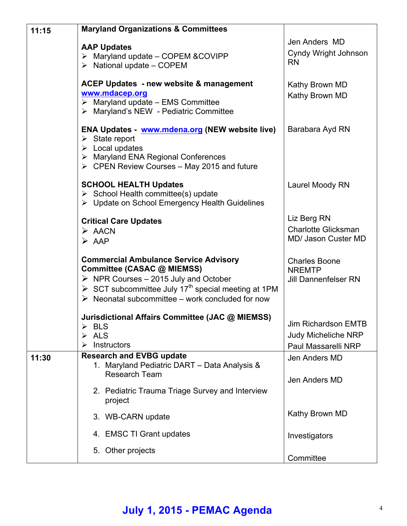| 11:15 | <b>Maryland Organizations &amp; Committees</b>                                                                                                                                                                                                                         |                                                                                 |
|-------|------------------------------------------------------------------------------------------------------------------------------------------------------------------------------------------------------------------------------------------------------------------------|---------------------------------------------------------------------------------|
|       | <b>AAP Updates</b><br>> Maryland update - COPEM & COVIPP<br>$\triangleright$ National update – COPEM                                                                                                                                                                   | Jen Anders MD<br>Cyndy Wright Johnson<br><b>RN</b>                              |
|       | ACEP Updates - new website & management<br>www.mdacep.org<br>$\triangleright$ Maryland update - EMS Committee<br>> Maryland's NEW - Pediatric Committee                                                                                                                | Kathy Brown MD<br>Kathy Brown MD                                                |
|       | ENA Updates - www.mdena.org (NEW website live)<br>$\triangleright$ State report<br>$\triangleright$ Local updates<br>> Maryland ENA Regional Conferences<br>$\triangleright$ CPEN Review Courses – May 2015 and future                                                 | Barabara Ayd RN                                                                 |
|       | <b>SCHOOL HEALTH Updates</b><br>$\triangleright$ School Health committee(s) update<br>> Update on School Emergency Health Guidelines                                                                                                                                   | Laurel Moody RN                                                                 |
|       | <b>Critical Care Updates</b><br>$\triangleright$ AACN<br>$\triangleright$ AAP                                                                                                                                                                                          | Liz Berg RN<br><b>Charlotte Glicksman</b><br><b>MD/ Jason Custer MD</b>         |
|       | <b>Commercial Ambulance Service Advisory</b><br>Committee (CASAC @ MIEMSS)<br>$\triangleright$ NPR Courses - 2015 July and October<br>SCT subcommittee July 17 <sup>th</sup> special meeting at 1PM<br>$\triangleright$ Neonatal subcommittee – work concluded for now | <b>Charles Boone</b><br><b>NREMTP</b><br><b>Jill Dannenfelser RN</b>            |
|       | Jurisdictional Affairs Committee (JAC @ MIEMSS)<br><b>BLS</b><br>➤<br><b>ALS</b><br>Instructors<br>➤                                                                                                                                                                   | <b>Jim Richardson EMTB</b><br><b>Judy Micheliche NRP</b><br>Paul Massarelli NRP |
| 11:30 | <b>Research and EVBG update</b><br>1. Maryland Pediatric DART - Data Analysis &                                                                                                                                                                                        | Jen Anders MD                                                                   |
|       | Research Team<br>2. Pediatric Trauma Triage Survey and Interview<br>project                                                                                                                                                                                            | Jen Anders MD                                                                   |
|       | 3. WB-CARN update                                                                                                                                                                                                                                                      | Kathy Brown MD                                                                  |
|       | 4. EMSC TI Grant updates                                                                                                                                                                                                                                               | Investigators                                                                   |
|       | 5. Other projects                                                                                                                                                                                                                                                      | Committee                                                                       |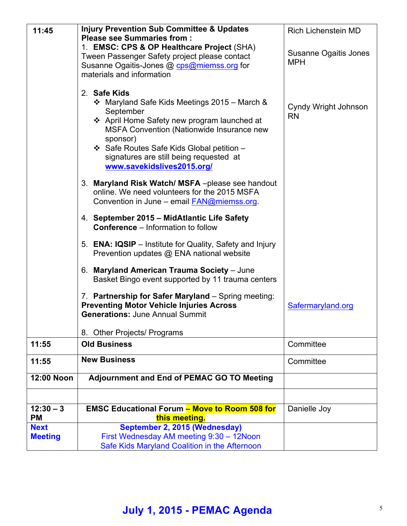| 11:45                    | <b>Injury Prevention Sub Committee &amp; Updates</b>                                                                                                                                                                                                                                                           | <b>Rich Lichenstein MD</b>        |
|--------------------------|----------------------------------------------------------------------------------------------------------------------------------------------------------------------------------------------------------------------------------------------------------------------------------------------------------------|-----------------------------------|
|                          | <b>Please see Summaries from:</b><br>1. EMSC: CPS & OP Healthcare Project (SHA)                                                                                                                                                                                                                                |                                   |
|                          | Tween Passenger Safety project please contact                                                                                                                                                                                                                                                                  | Susanne Ogaitis Jones             |
|                          | Susanne Ogaitis-Jones @ cps@miemss.org for                                                                                                                                                                                                                                                                     | <b>MPH</b>                        |
|                          | materials and information                                                                                                                                                                                                                                                                                      |                                   |
|                          | 2. Safe Kids<br>❖ Maryland Safe Kids Meetings 2015 – March &<br>September<br>❖ April Home Safety new program launched at<br><b>MSFA Convention (Nationwide Insurance new</b><br>sponsor)<br>❖ Safe Routes Safe Kids Global petition -<br>signatures are still being requested at<br>www.savekidslives2015.org/ | Cyndy Wright Johnson<br><b>RN</b> |
|                          | 3. Maryland Risk Watch/MSFA-please see handout<br>online. We need volunteers for the 2015 MSFA<br>Convention in June – email FAN@miemss.org.                                                                                                                                                                   |                                   |
|                          | 4. September 2015 - MidAtlantic Life Safety<br><b>Conference</b> – Information to follow                                                                                                                                                                                                                       |                                   |
|                          | 5. ENA: IQSIP - Institute for Quality, Safety and Injury<br>Prevention updates @ ENA national website                                                                                                                                                                                                          |                                   |
|                          | 6. Maryland American Trauma Society - June<br>Basket Bingo event supported by 11 trauma centers                                                                                                                                                                                                                |                                   |
|                          | 7. Partnership for Safer Maryland - Spring meeting:<br><b>Preventing Motor Vehicle Injuries Across</b><br><b>Generations: June Annual Summit</b>                                                                                                                                                               | Safermaryland.org                 |
|                          | 8. Other Projects/ Programs                                                                                                                                                                                                                                                                                    |                                   |
| 11:55                    | <b>Old Business</b>                                                                                                                                                                                                                                                                                            | Committee                         |
| 11:55                    | <b>New Business</b>                                                                                                                                                                                                                                                                                            | Committee                         |
| <b>12:00 Noon</b>        | <b>Adjournment and End of PEMAC GO TO Meeting</b>                                                                                                                                                                                                                                                              |                                   |
|                          |                                                                                                                                                                                                                                                                                                                |                                   |
| $12:30 - 3$              | <b>EMSC Educational Forum - Move to Room 508 for</b>                                                                                                                                                                                                                                                           | Danielle Joy                      |
| <b>PM</b><br><b>Next</b> | this meeting.                                                                                                                                                                                                                                                                                                  |                                   |
| <b>Meeting</b>           | September 2, 2015 (Wednesday)<br>First Wednesday AM meeting 9:30 - 12Noon                                                                                                                                                                                                                                      |                                   |
|                          | Safe Kids Maryland Coalition in the Afternoon                                                                                                                                                                                                                                                                  |                                   |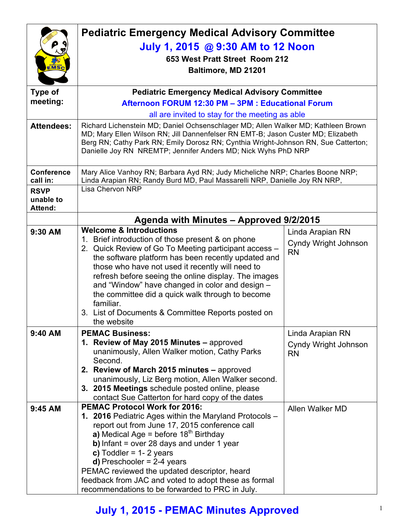|                          | <b>Pediatric Emergency Medical Advisory Committee</b>                                                                                               |                                   |  |
|--------------------------|-----------------------------------------------------------------------------------------------------------------------------------------------------|-----------------------------------|--|
|                          | July 1, 2015 @ 9:30 AM to 12 Noon                                                                                                                   |                                   |  |
|                          | 653 West Pratt Street Room 212                                                                                                                      |                                   |  |
| EMSC                     | Baltimore, MD 21201                                                                                                                                 |                                   |  |
|                          |                                                                                                                                                     |                                   |  |
| <b>Type of</b>           | <b>Pediatric Emergency Medical Advisory Committee</b>                                                                                               |                                   |  |
| meeting:                 | Afternoon FORUM 12:30 PM - 3PM : Educational Forum                                                                                                  |                                   |  |
|                          | all are invited to stay for the meeting as able                                                                                                     |                                   |  |
| <b>Attendees:</b>        | Richard Lichenstein MD; Daniel Ochsenschlager MD; Allen Walker MD; Kathleen Brown                                                                   |                                   |  |
|                          | MD; Mary Ellen Wilson RN; Jill Dannenfelser RN EMT-B; Jason Custer MD; Elizabeth                                                                    |                                   |  |
|                          | Berg RN; Cathy Park RN; Emily Dorosz RN; Cynthia Wright-Johnson RN, Sue Catterton;<br>Danielle Joy RN NREMTP; Jennifer Anders MD; Nick Wyhs PhD NRP |                                   |  |
|                          |                                                                                                                                                     |                                   |  |
| <b>Conference</b>        | Mary Alice Vanhoy RN; Barbara Ayd RN; Judy Micheliche NRP; Charles Boone NRP;                                                                       |                                   |  |
| call in:                 | Linda Arapian RN; Randy Burd MD, Paul Massarelli NRP, Danielle Joy RN NRP,<br><b>Lisa Chervon NRP</b>                                               |                                   |  |
| <b>RSVP</b><br>unable to |                                                                                                                                                     |                                   |  |
| <b>Attend:</b>           |                                                                                                                                                     |                                   |  |
|                          | Agenda with Minutes - Approved 9/2/2015                                                                                                             |                                   |  |
| 9:30 AM                  | <b>Welcome &amp; Introductions</b>                                                                                                                  | Linda Arapian RN                  |  |
|                          | 1. Brief introduction of those present & on phone                                                                                                   | <b>Cyndy Wright Johnson</b>       |  |
|                          | 2. Quick Review of Go To Meeting participant access -                                                                                               | <b>RN</b>                         |  |
|                          | the software platform has been recently updated and<br>those who have not used it recently will need to                                             |                                   |  |
|                          | refresh before seeing the online display. The images                                                                                                |                                   |  |
|                          | and "Window" have changed in color and design -                                                                                                     |                                   |  |
|                          | the committee did a quick walk through to become                                                                                                    |                                   |  |
|                          | familiar.                                                                                                                                           |                                   |  |
|                          | 3. List of Documents & Committee Reports posted on<br>the website                                                                                   |                                   |  |
| 9:40 AM                  | <b>PEMAC Business:</b>                                                                                                                              | Linda Arapian RN                  |  |
|                          | 1. Review of May 2015 Minutes - approved                                                                                                            |                                   |  |
|                          | unanimously, Allen Walker motion, Cathy Parks                                                                                                       | Cyndy Wright Johnson<br><b>RN</b> |  |
|                          | Second.                                                                                                                                             |                                   |  |
|                          | 2. Review of March 2015 minutes - approved                                                                                                          |                                   |  |
|                          | unanimously, Liz Berg motion, Allen Walker second.                                                                                                  |                                   |  |
|                          | 3. 2015 Meetings schedule posted online, please<br>contact Sue Catterton for hard copy of the dates                                                 |                                   |  |
| 9:45 AM                  | <b>PEMAC Protocol Work for 2016:</b>                                                                                                                | Allen Walker MD                   |  |
|                          | 1. 2016 Pediatric Ages within the Maryland Protocols -                                                                                              |                                   |  |
|                          | report out from June 17, 2015 conference call                                                                                                       |                                   |  |
|                          | a) Medical Age = before $18th$ Birthday                                                                                                             |                                   |  |
|                          | b) Infant = over 28 days and under 1 year                                                                                                           |                                   |  |
|                          | c) Toddler = $1 - 2$ years<br><b>d)</b> Preschooler = $2-4$ years                                                                                   |                                   |  |
|                          | PEMAC reviewed the updated descriptor, heard                                                                                                        |                                   |  |
|                          | feedback from JAC and voted to adopt these as formal                                                                                                |                                   |  |
|                          | recommendations to be forwarded to PRC in July.                                                                                                     |                                   |  |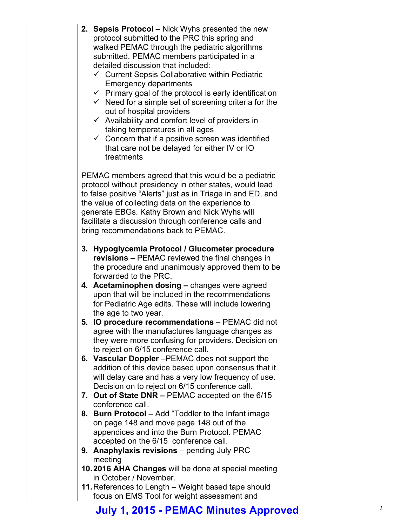| 2. Sepsis Protocol - Nick Wyhs presented the new                  |  |
|-------------------------------------------------------------------|--|
| protocol submitted to the PRC this spring and                     |  |
| walked PEMAC through the pediatric algorithms                     |  |
| submitted. PEMAC members participated in a                        |  |
| detailed discussion that included:                                |  |
| $\checkmark$ Current Sepsis Collaborative within Pediatric        |  |
| <b>Emergency departments</b>                                      |  |
| $\checkmark$ Primary goal of the protocol is early identification |  |
| $\checkmark$ Need for a simple set of screening criteria for the  |  |
| out of hospital providers                                         |  |
| $\checkmark$ Availability and comfort level of providers in       |  |
| taking temperatures in all ages                                   |  |
| $\checkmark$ Concern that if a positive screen was identified     |  |
| that care not be delayed for either IV or IO                      |  |
| treatments                                                        |  |
| PEMAC members agreed that this would be a pediatric               |  |
| protocol without presidency in other states, would lead           |  |
| to false positive "Alerts" just as in Triage in and ED, and       |  |
| the value of collecting data on the experience to                 |  |
| generate EBGs. Kathy Brown and Nick Wyhs will                     |  |
| facilitate a discussion through conference calls and              |  |
| bring recommendations back to PEMAC.                              |  |
|                                                                   |  |
| 3. Hypoglycemia Protocol / Glucometer procedure                   |  |
| <b>revisions – PEMAC reviewed the final changes in</b>            |  |
| the procedure and unanimously approved them to be                 |  |
| forwarded to the PRC.                                             |  |
| 4. Acetaminophen dosing - changes were agreed                     |  |
| upon that will be included in the recommendations                 |  |
| for Pediatric Age edits. These will include lowering              |  |
| the age to two year.                                              |  |
| 5. IO procedure recommendations – PEMAC did not                   |  |
| agree with the manufactures language changes as                   |  |
| they were more confusing for providers. Decision on               |  |
| to reject on 6/15 conference call.                                |  |
| 6. Vascular Doppler - PEMAC does not support the                  |  |
| addition of this device based upon consensus that it              |  |
| will delay care and has a very low frequency of use.              |  |
| Decision on to reject on 6/15 conference call.                    |  |
| 7. Out of State DNR - PEMAC accepted on the 6/15                  |  |
| conference call.                                                  |  |
| 8. Burn Protocol – Add "Toddler to the Infant image               |  |
| on page 148 and move page 148 out of the                          |  |
| appendices and into the Burn Protocol. PEMAC                      |  |
| accepted on the 6/15 conference call.                             |  |
| 9. Anaphylaxis revisions - pending July PRC                       |  |
| meeting                                                           |  |
| 10.2016 AHA Changes will be done at special meeting               |  |
| in October / November.                                            |  |
| 11. References to Length - Weight based tape should               |  |
| focus on EMS Tool for weight assessment and                       |  |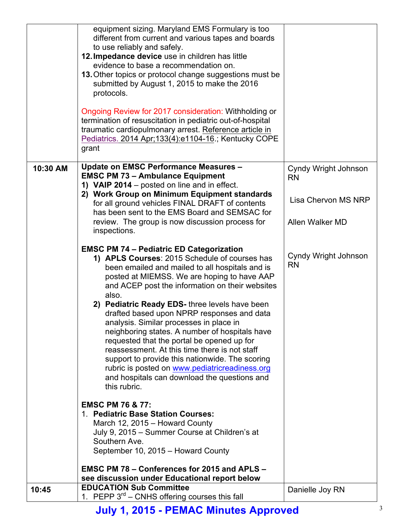|          | equipment sizing. Maryland EMS Formulary is too<br>different from current and various tapes and boards<br>to use reliably and safely.<br>12. Impedance device use in children has little<br>evidence to base a recommendation on.<br>13. Other topics or protocol change suggestions must be<br>submitted by August 1, 2015 to make the 2016<br>protocols.<br>Ongoing Review for 2017 consideration: Withholding or<br>termination of resuscitation in pediatric out-of-hospital<br>traumatic cardiopulmonary arrest. Reference article in<br>Pediatrics. 2014 Apr; 133(4): e1104-16.; Kentucky COPE<br>grant                                                                                                                   |                                                          |
|----------|---------------------------------------------------------------------------------------------------------------------------------------------------------------------------------------------------------------------------------------------------------------------------------------------------------------------------------------------------------------------------------------------------------------------------------------------------------------------------------------------------------------------------------------------------------------------------------------------------------------------------------------------------------------------------------------------------------------------------------|----------------------------------------------------------|
| 10:30 AM | Update on EMSC Performance Measures -<br><b>EMSC PM 73 - Ambulance Equipment</b><br>1) VAIP 2014 – posted on line and in effect.<br>2) Work Group on Minimum Equipment standards<br>for all ground vehicles FINAL DRAFT of contents<br>has been sent to the EMS Board and SEMSAC for                                                                                                                                                                                                                                                                                                                                                                                                                                            | Cyndy Wright Johnson<br><b>RN</b><br>Lisa Chervon MS NRP |
|          | review. The group is now discussion process for<br>inspections.                                                                                                                                                                                                                                                                                                                                                                                                                                                                                                                                                                                                                                                                 | Allen Walker MD                                          |
|          | <b>EMSC PM 74 - Pediatric ED Categorization</b><br>1) APLS Courses: 2015 Schedule of courses has<br>been emailed and mailed to all hospitals and is<br>posted at MIEMSS. We are hoping to have AAP<br>and ACEP post the information on their websites<br>also.<br>2) Pediatric Ready EDS- three levels have been<br>drafted based upon NPRP responses and data<br>analysis. Similar processes in place in<br>neighboring states. A number of hospitals have<br>requested that the portal be opened up for<br>reassessment. At this time there is not staff<br>support to provide this nationwide. The scoring<br>rubric is posted on www.pediatricreadiness.org<br>and hospitals can download the questions and<br>this rubric. | Cyndy Wright Johnson<br><b>RN</b>                        |
|          | <b>EMSC PM 76 &amp; 77:</b><br>1. Pediatric Base Station Courses:<br>March 12, 2015 - Howard County<br>July 9, 2015 – Summer Course at Children's at<br>Southern Ave.<br>September 10, 2015 - Howard County                                                                                                                                                                                                                                                                                                                                                                                                                                                                                                                     |                                                          |
|          | EMSC PM 78 - Conferences for 2015 and APLS -<br>see discussion under Educational report below                                                                                                                                                                                                                                                                                                                                                                                                                                                                                                                                                                                                                                   |                                                          |
| 10:45    | <b>EDUCATION Sub Committee</b><br>1. PEPP $3^{rd}$ – CNHS offering courses this fall                                                                                                                                                                                                                                                                                                                                                                                                                                                                                                                                                                                                                                            | Danielle Joy RN                                          |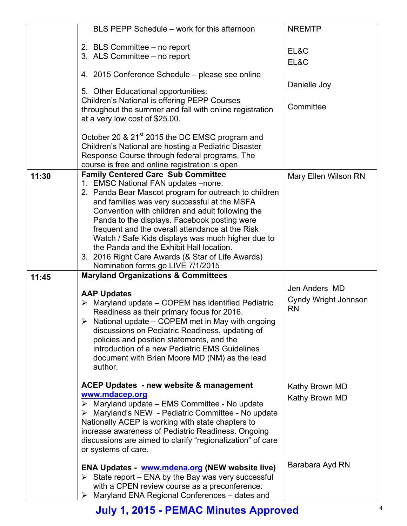|       | BLS PEPP Schedule - work for this afternoon                                                                    | <b>NREMTP</b>        |
|-------|----------------------------------------------------------------------------------------------------------------|----------------------|
|       | 2. BLS Committee – no report                                                                                   |                      |
|       | 3. ALS Committee - no report                                                                                   | EL&C                 |
|       |                                                                                                                | EL&C                 |
|       | 4. 2015 Conference Schedule – please see online                                                                |                      |
|       | 5. Other Educational opportunities:                                                                            | Danielle Joy         |
|       | Children's National is offering PEPP Courses                                                                   |                      |
|       | throughout the summer and fall with online registration                                                        | Committee            |
|       | at a very low cost of \$25.00.                                                                                 |                      |
|       |                                                                                                                |                      |
|       | October 20 & 21 <sup>st</sup> 2015 the DC EMSC program and                                                     |                      |
|       | Children's National are hosting a Pediatric Disaster                                                           |                      |
|       | Response Course through federal programs. The                                                                  |                      |
|       | course is free and online registration is open.                                                                |                      |
| 11:30 | <b>Family Centered Care Sub Committee</b>                                                                      | Mary Ellen Wilson RN |
|       | 1. EMSC National FAN updates -none.                                                                            |                      |
|       | 2. Panda Bear Mascot program for outreach to children                                                          |                      |
|       | and families was very successful at the MSFA                                                                   |                      |
|       | Convention with children and adult following the                                                               |                      |
|       | Panda to the displays. Facebook posting were                                                                   |                      |
|       | frequent and the overall attendance at the Risk                                                                |                      |
|       | Watch / Safe Kids displays was much higher due to                                                              |                      |
|       | the Panda and the Exhibit Hall location.                                                                       |                      |
|       | 3. 2016 Right Care Awards (& Star of Life Awards)                                                              |                      |
|       | Nomination forms go LIVE 7/1/2015                                                                              |                      |
| 11:45 | <b>Maryland Organizations &amp; Committees</b>                                                                 |                      |
|       |                                                                                                                | Jen Anders MD        |
|       | <b>AAP Updates</b>                                                                                             | Cyndy Wright Johnson |
|       | $\triangleright$ Maryland update – COPEM has identified Pediatric                                              | <b>RN</b>            |
|       | Readiness as their primary focus for 2016.<br>$\triangleright$ National update – COPEM met in May with ongoing |                      |
|       |                                                                                                                |                      |
|       | discussions on Pediatric Readiness, updating of<br>policies and position statements, and the                   |                      |
|       | introduction of a new Pediatric EMS Guidelines                                                                 |                      |
|       | document with Brian Moore MD (NM) as the lead                                                                  |                      |
|       | author.                                                                                                        |                      |
|       |                                                                                                                |                      |
|       | <b>ACEP Updates - new website &amp; management</b>                                                             | Kathy Brown MD       |
|       | www.mdacep.org                                                                                                 |                      |
|       | $\triangleright$ Maryland update – EMS Committee - No update                                                   | Kathy Brown MD       |
|       | > Maryland's NEW - Pediatric Committee - No update                                                             |                      |
|       | Nationally ACEP is working with state chapters to                                                              |                      |
|       | increase awareness of Pediatric Readiness. Ongoing                                                             |                      |
|       | discussions are aimed to clarify "regionalization" of care                                                     |                      |
|       | or systems of care.                                                                                            |                      |
|       |                                                                                                                |                      |
|       | ENA Updates - www.mdena.org (NEW website live)                                                                 | Barabara Ayd RN      |
|       | $\triangleright$ State report – ENA by the Bay was very successful                                             |                      |
|       | with a CPEN review course as a preconference.                                                                  |                      |
|       | $\triangleright$ Maryland ENA Regional Conferences – dates and                                                 |                      |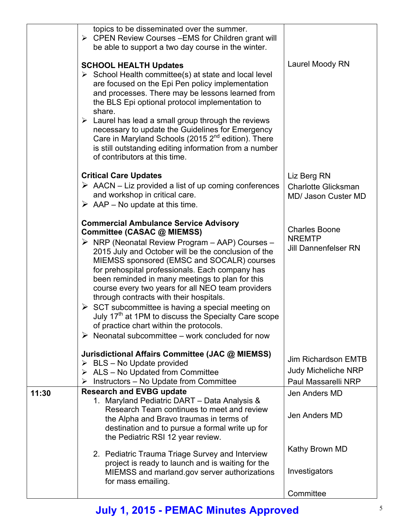|       | topics to be disseminated over the summer.<br>$\triangleright$ CPEN Review Courses – EMS for Children grant will<br>be able to support a two day course in the winter.                                                                                                                                                                                                                                                                                                                                                                                                                                                                                                                            |                                                                          |
|-------|---------------------------------------------------------------------------------------------------------------------------------------------------------------------------------------------------------------------------------------------------------------------------------------------------------------------------------------------------------------------------------------------------------------------------------------------------------------------------------------------------------------------------------------------------------------------------------------------------------------------------------------------------------------------------------------------------|--------------------------------------------------------------------------|
|       | <b>SCHOOL HEALTH Updates</b><br>$\triangleright$ School Health committee(s) at state and local level<br>are focused on the Epi Pen policy implementation<br>and processes. There may be lessons learned from<br>the BLS Epi optional protocol implementation to<br>share.<br>$\triangleright$ Laurel has lead a small group through the reviews<br>necessary to update the Guidelines for Emergency<br>Care in Maryland Schools (2015 $2nd$ edition). There<br>is still outstanding editing information from a number<br>of contributors at this time.                                                                                                                                            | Laurel Moody RN                                                          |
|       | <b>Critical Care Updates</b><br>$\triangleright$ AACN – Liz provided a list of up coming conferences<br>and workshop in critical care.<br>$\triangleright$ AAP – No update at this time.                                                                                                                                                                                                                                                                                                                                                                                                                                                                                                          | Liz Berg RN<br><b>Charlotte Glicksman</b><br><b>MD/ Jason Custer MD</b>  |
|       | <b>Commercial Ambulance Service Advisory</b><br>Committee (CASAC @ MIEMSS)<br>$\triangleright$ NRP (Neonatal Review Program – AAP) Courses –<br>2015 July and October will be the conclusion of the<br>MIEMSS sponsored (EMSC and SOCALR) courses<br>for prehospital professionals. Each company has<br>been reminded in many meetings to plan for this<br>course every two years for all NEO team providers<br>through contracts with their hospitals.<br>$\triangleright$ SCT subcommittee is having a special meeting on<br>July 17 <sup>th</sup> at 1PM to discuss the Specialty Care scope<br>of practice chart within the protocols.<br>Neonatal subcommittee - work concluded for now<br>➤ | <b>Charles Boone</b><br><b>NREMTP</b><br><b>Jill Dannenfelser RN</b>     |
|       | Jurisdictional Affairs Committee (JAC @ MIEMSS)<br>$\triangleright$ BLS – No Update provided<br>$\triangleright$ ALS – No Updated from Committee<br>Instructors - No Update from Committee<br>➤                                                                                                                                                                                                                                                                                                                                                                                                                                                                                                   | Jim Richardson EMTB<br><b>Judy Micheliche NRP</b><br>Paul Massarelli NRP |
| 11:30 | <b>Research and EVBG update</b><br>1. Maryland Pediatric DART - Data Analysis &<br>Research Team continues to meet and review<br>the Alpha and Bravo traumas in terms of<br>destination and to pursue a formal write up for<br>the Pediatric RSI 12 year review.                                                                                                                                                                                                                                                                                                                                                                                                                                  | Jen Anders MD<br>Jen Anders MD                                           |
|       | 2. Pediatric Trauma Triage Survey and Interview<br>project is ready to launch and is waiting for the<br>MIEMSS and marland.gov server authorizations<br>for mass emailing.                                                                                                                                                                                                                                                                                                                                                                                                                                                                                                                        | Kathy Brown MD<br>Investigators                                          |
|       |                                                                                                                                                                                                                                                                                                                                                                                                                                                                                                                                                                                                                                                                                                   | Committee                                                                |